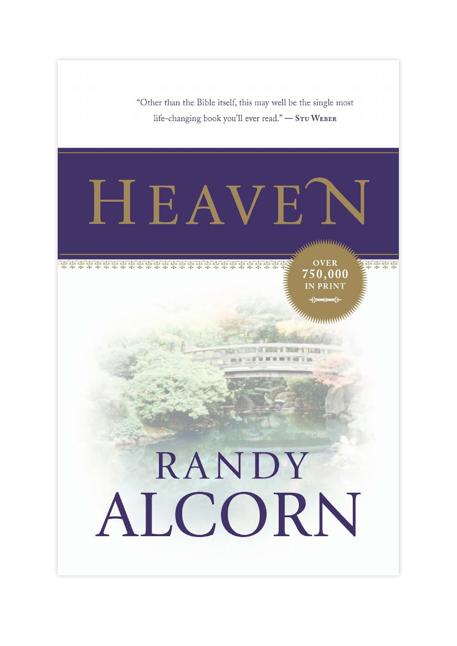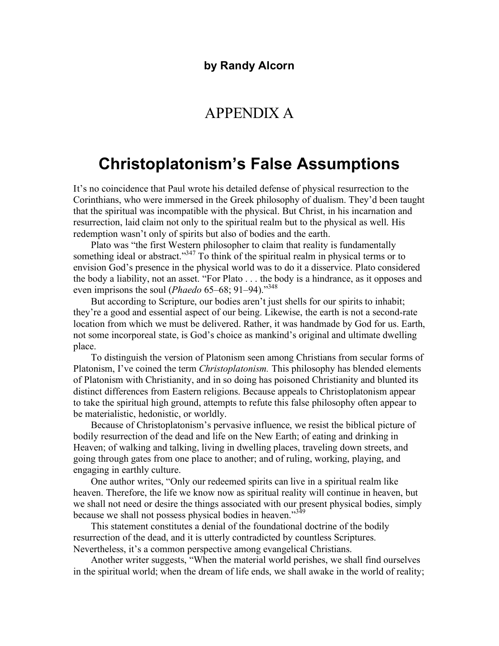#### **by Randy Alcorn**

### APPENDIX A

# **Christoplatonism's False Assumptions**

It's no coincidence that Paul wrote his detailed defense of physical resurrection to the Corinthians, who were immersed in the Greek philosophy of dualism. They'd been taught that the spiritual was incompatible with the physical. But Christ, in his incarnation and resurrection, laid claim not only to the spiritual realm but to the physical as well. His redemption wasn't only of spirits but also of bodies and the earth.

Plato was "the first Western philosopher to claim that reality is fundamentally something ideal or abstract." $347$  To think of the spiritual realm in physical terms or to envision God's presence in the physical world was to do it a disservice. Plato considered the body a liability, not an asset. "For Plato . . . the body is a hindrance, as it opposes and even imprisons the soul (*Phaedo* 65–68; 91–94)." 348

But according to Scripture, our bodies aren't just shells for our spirits to inhabit; they're a good and essential aspect of our being. Likewise, the earth is not a second-rate location from which we must be delivered. Rather, it was handmade by God for us. Earth, not some incorporeal state, is God's choice as mankind's original and ultimate dwelling place.

To distinguish the version of Platonism seen among Christians from secular forms of Platonism, I've coined the term *Christoplatonism.* This philosophy has blended elements of Platonism with Christianity, and in so doing has poisoned Christianity and blunted its distinct differences from Eastern religions. Because appeals to Christoplatonism appear to take the spiritual high ground, attempts to refute this false philosophy often appear to be materialistic, hedonistic, or worldly.

Because of Christoplatonism's pervasive influence, we resist the biblical picture of bodily resurrection of the dead and life on the New Earth; of eating and drinking in Heaven; of walking and talking, living in dwelling places, traveling down streets, and going through gates from one place to another; and of ruling, working, playing, and engaging in earthly culture.

One author writes, "Only our redeemed spirits can live in a spiritual realm like heaven. Therefore, the life we know now as spiritual reality will continue in heaven, but we shall not need or desire the things associated with our present physical bodies, simply because we shall not possess physical bodies in heaven."349

This statement constitutes a denial of the foundational doctrine of the bodily resurrection of the dead, and it is utterly contradicted by countless Scriptures. Nevertheless, it's a common perspective among evangelical Christians.

Another writer suggests, "When the material world perishes, we shall find ourselves in the spiritual world; when the dream of life ends, we shall awake in the world of reality;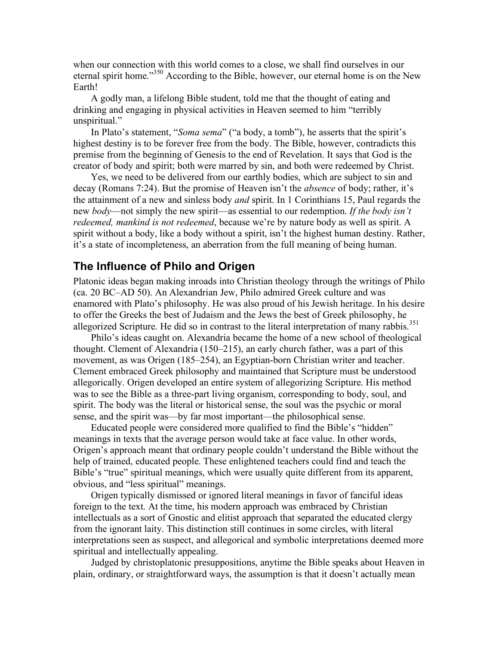when our connection with this world comes to a close, we shall find ourselves in our eternal spirit home."<sup>350</sup> According to the Bible, however, our eternal home is on the New Earth!

A godly man, a lifelong Bible student, told me that the thought of eating and drinking and engaging in physical activities in Heaven seemed to him "terribly unspiritual."

In Plato's statement, "*Soma sema*" ("a body, a tomb"), he asserts that the spirit's highest destiny is to be forever free from the body. The Bible, however, contradicts this premise from the beginning of Genesis to the end of Revelation. It says that God is the creator of body and spirit; both were marred by sin, and both were redeemed by Christ.

Yes, we need to be delivered from our earthly bodies, which are subject to sin and decay (Romans 7:24). But the promise of Heaven isn't the *absence* of body; rather, it's the attainment of a new and sinless body *and* spirit. In 1 Corinthians 15, Paul regards the new *body*—not simply the new spirit—as essential to our redemption. *If the body isn't redeemed, mankind is not redeemed*, because we're by nature body as well as spirit. A spirit without a body, like a body without a spirit, isn't the highest human destiny. Rather, it's a state of incompleteness, an aberration from the full meaning of being human.

#### **The Influence of Philo and Origen**

Platonic ideas began making inroads into Christian theology through the writings of Philo (ca. 20 BC–AD 50). An Alexandrian Jew, Philo admired Greek culture and was enamored with Plato's philosophy. He was also proud of his Jewish heritage. In his desire to offer the Greeks the best of Judaism and the Jews the best of Greek philosophy, he allegorized Scripture. He did so in contrast to the literal interpretation of many rabbis.<sup>351</sup>

Philo's ideas caught on. Alexandria became the home of a new school of theological thought. Clement of Alexandria (150–215), an early church father, was a part of this movement, as was Origen (185–254), an Egyptian-born Christian writer and teacher. Clement embraced Greek philosophy and maintained that Scripture must be understood allegorically. Origen developed an entire system of allegorizing Scripture. His method was to see the Bible as a three-part living organism, corresponding to body, soul, and spirit. The body was the literal or historical sense, the soul was the psychic or moral sense, and the spirit was—by far most important—the philosophical sense.

Educated people were considered more qualified to find the Bible's "hidden" meanings in texts that the average person would take at face value. In other words, Origen's approach meant that ordinary people couldn't understand the Bible without the help of trained, educated people. These enlightened teachers could find and teach the Bible's "true" spiritual meanings, which were usually quite different from its apparent, obvious, and "less spiritual" meanings.

Origen typically dismissed or ignored literal meanings in favor of fanciful ideas foreign to the text. At the time, his modern approach was embraced by Christian intellectuals as a sort of Gnostic and elitist approach that separated the educated clergy from the ignorant laity. This distinction still continues in some circles, with literal interpretations seen as suspect, and allegorical and symbolic interpretations deemed more spiritual and intellectually appealing.

Judged by christoplatonic presuppositions, anytime the Bible speaks about Heaven in plain, ordinary, or straightforward ways, the assumption is that it doesn't actually mean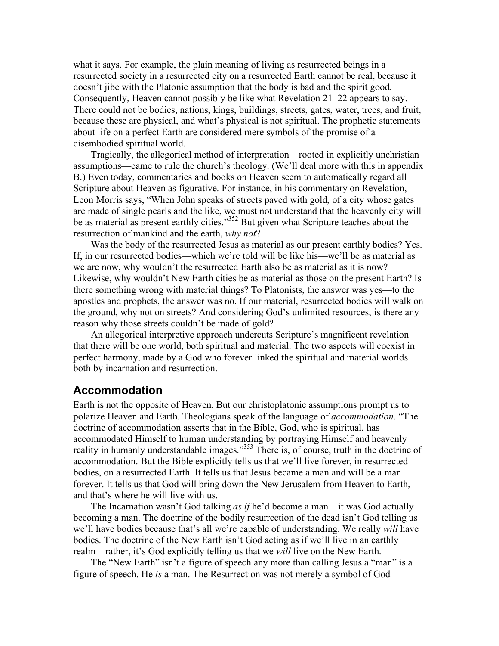what it says. For example, the plain meaning of living as resurrected beings in a resurrected society in a resurrected city on a resurrected Earth cannot be real, because it doesn't jibe with the Platonic assumption that the body is bad and the spirit good. Consequently, Heaven cannot possibly be like what Revelation 21–22 appears to say. There could not be bodies, nations, kings, buildings, streets, gates, water, trees, and fruit, because these are physical, and what's physical is not spiritual. The prophetic statements about life on a perfect Earth are considered mere symbols of the promise of a disembodied spiritual world.

Tragically, the allegorical method of interpretation—rooted in explicitly unchristian assumptions—came to rule the church's theology. (We'll deal more with this in appendix B.) Even today, commentaries and books on Heaven seem to automatically regard all Scripture about Heaven as figurative. For instance, in his commentary on Revelation, Leon Morris says, "When John speaks of streets paved with gold, of a city whose gates are made of single pearls and the like, we must not understand that the heavenly city will be as material as present earthly cities."<sup>352</sup> But given what Scripture teaches about the resurrection of mankind and the earth, *why not*?

Was the body of the resurrected Jesus as material as our present earthly bodies? Yes. If, in our resurrected bodies—which we're told will be like his—we'll be as material as we are now, why wouldn't the resurrected Earth also be as material as it is now? Likewise, why wouldn't New Earth cities be as material as those on the present Earth? Is there something wrong with material things? To Platonists, the answer was yes—to the apostles and prophets, the answer was no. If our material, resurrected bodies will walk on the ground, why not on streets? And considering God's unlimited resources, is there any reason why those streets couldn't be made of gold?

An allegorical interpretive approach undercuts Scripture's magnificent revelation that there will be one world, both spiritual and material. The two aspects will coexist in perfect harmony, made by a God who forever linked the spiritual and material worlds both by incarnation and resurrection.

#### **Accommodation**

Earth is not the opposite of Heaven. But our christoplatonic assumptions prompt us to polarize Heaven and Earth. Theologians speak of the language of *accommodation*. "The doctrine of accommodation asserts that in the Bible, God, who is spiritual, has accommodated Himself to human understanding by portraying Himself and heavenly reality in humanly understandable images."<sup>353</sup> There is, of course, truth in the doctrine of accommodation. But the Bible explicitly tells us that we'll live forever, in resurrected bodies, on a resurrected Earth. It tells us that Jesus became a man and will be a man forever. It tells us that God will bring down the New Jerusalem from Heaven to Earth, and that's where he will live with us.

The Incarnation wasn't God talking *as if* he'd become a man—it was God actually becoming a man. The doctrine of the bodily resurrection of the dead isn't God telling us we'll have bodies because that's all we're capable of understanding. We really *will* have bodies. The doctrine of the New Earth isn't God acting as if we'll live in an earthly realm—rather, it's God explicitly telling us that we *will* live on the New Earth.

The "New Earth" isn't a figure of speech any more than calling Jesus a "man" is a figure of speech. He *is* a man. The Resurrection was not merely a symbol of God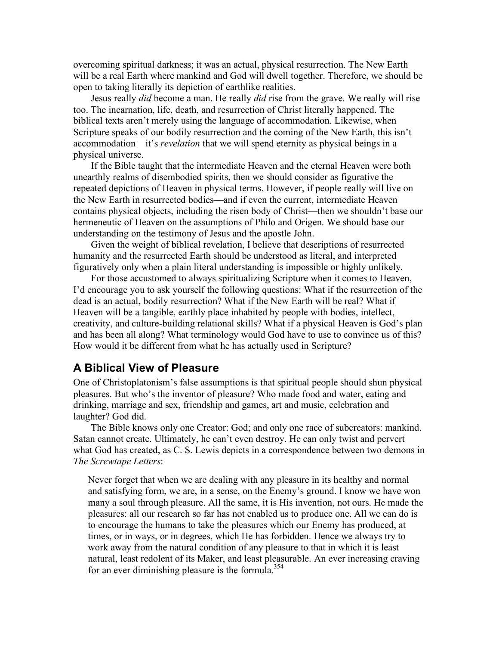overcoming spiritual darkness; it was an actual, physical resurrection. The New Earth will be a real Earth where mankind and God will dwell together. Therefore, we should be open to taking literally its depiction of earthlike realities.

Jesus really *did* become a man. He really *did* rise from the grave. We really will rise too. The incarnation, life, death, and resurrection of Christ literally happened. The biblical texts aren't merely using the language of accommodation. Likewise, when Scripture speaks of our bodily resurrection and the coming of the New Earth, this isn't accommodation—it's *revelation* that we will spend eternity as physical beings in a physical universe.

If the Bible taught that the intermediate Heaven and the eternal Heaven were both unearthly realms of disembodied spirits, then we should consider as figurative the repeated depictions of Heaven in physical terms. However, if people really will live on the New Earth in resurrected bodies—and if even the current, intermediate Heaven contains physical objects, including the risen body of Christ—then we shouldn't base our hermeneutic of Heaven on the assumptions of Philo and Origen. We should base our understanding on the testimony of Jesus and the apostle John.

Given the weight of biblical revelation, I believe that descriptions of resurrected humanity and the resurrected Earth should be understood as literal, and interpreted figuratively only when a plain literal understanding is impossible or highly unlikely.

For those accustomed to always spiritualizing Scripture when it comes to Heaven, I'd encourage you to ask yourself the following questions: What if the resurrection of the dead is an actual, bodily resurrection? What if the New Earth will be real? What if Heaven will be a tangible, earthly place inhabited by people with bodies, intellect, creativity, and culture-building relational skills? What if a physical Heaven is God's plan and has been all along? What terminology would God have to use to convince us of this? How would it be different from what he has actually used in Scripture?

#### **A Biblical View of Pleasure**

One of Christoplatonism's false assumptions is that spiritual people should shun physical pleasures. But who's the inventor of pleasure? Who made food and water, eating and drinking, marriage and sex, friendship and games, art and music, celebration and laughter? God did.

The Bible knows only one Creator: God; and only one race of subcreators: mankind. Satan cannot create. Ultimately, he can't even destroy. He can only twist and pervert what God has created, as C. S. Lewis depicts in a correspondence between two demons in *The Screwtape Letters*:

Never forget that when we are dealing with any pleasure in its healthy and normal and satisfying form, we are, in a sense, on the Enemy's ground. I know we have won many a soul through pleasure. All the same, it is His invention, not ours. He made the pleasures: all our research so far has not enabled us to produce one. All we can do is to encourage the humans to take the pleasures which our Enemy has produced, at times, or in ways, or in degrees, which He has forbidden. Hence we always try to work away from the natural condition of any pleasure to that in which it is least natural, least redolent of its Maker, and least pleasurable. An ever increasing craving for an ever diminishing pleasure is the formula.<sup>354</sup>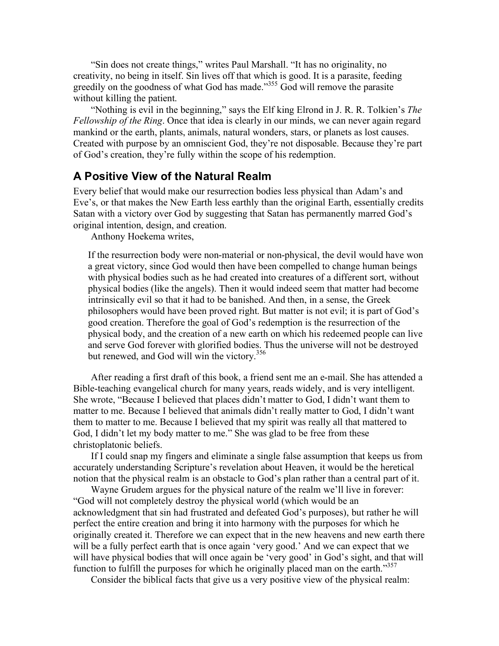"Sin does not create things," writes Paul Marshall. "It has no originality, no creativity, no being in itself. Sin lives off that which is good. It is a parasite, feeding greedily on the goodness of what God has made."<sup>355</sup> God will remove the parasite without killing the patient.

"Nothing is evil in the beginning," says the Elf king Elrond in J. R. R. Tolkien's *The Fellowship of the Ring*. Once that idea is clearly in our minds, we can never again regard mankind or the earth, plants, animals, natural wonders, stars, or planets as lost causes. Created with purpose by an omniscient God, they're not disposable. Because they're part of God's creation, they're fully within the scope of his redemption.

#### **A Positive View of the Natural Realm**

Every belief that would make our resurrection bodies less physical than Adam's and Eve's, or that makes the New Earth less earthly than the original Earth, essentially credits Satan with a victory over God by suggesting that Satan has permanently marred God's original intention, design, and creation.

Anthony Hoekema writes,

If the resurrection body were non-material or non-physical, the devil would have won a great victory, since God would then have been compelled to change human beings with physical bodies such as he had created into creatures of a different sort, without physical bodies (like the angels). Then it would indeed seem that matter had become intrinsically evil so that it had to be banished. And then, in a sense, the Greek philosophers would have been proved right. But matter is not evil; it is part of God's good creation. Therefore the goal of God's redemption is the resurrection of the physical body, and the creation of a new earth on which his redeemed people can live and serve God forever with glorified bodies. Thus the universe will not be destroyed but renewed, and God will win the victory. 356

After reading a first draft of this book, a friend sent me an e-mail. She has attended a Bible-teaching evangelical church for many years, reads widely, and is very intelligent. She wrote, "Because I believed that places didn't matter to God, I didn't want them to matter to me. Because I believed that animals didn't really matter to God, I didn't want them to matter to me. Because I believed that my spirit was really all that mattered to God, I didn't let my body matter to me." She was glad to be free from these christoplatonic beliefs.

If I could snap my fingers and eliminate a single false assumption that keeps us from accurately understanding Scripture's revelation about Heaven, it would be the heretical notion that the physical realm is an obstacle to God's plan rather than a central part of it.

Wayne Grudem argues for the physical nature of the realm we'll live in forever: "God will not completely destroy the physical world (which would be an acknowledgment that sin had frustrated and defeated God's purposes), but rather he will perfect the entire creation and bring it into harmony with the purposes for which he originally created it. Therefore we can expect that in the new heavens and new earth there will be a fully perfect earth that is once again 'very good.' And we can expect that we will have physical bodies that will once again be 'very good' in God's sight, and that will function to fulfill the purposes for which he originally placed man on the earth."<sup>357</sup>

Consider the biblical facts that give us a very positive view of the physical realm: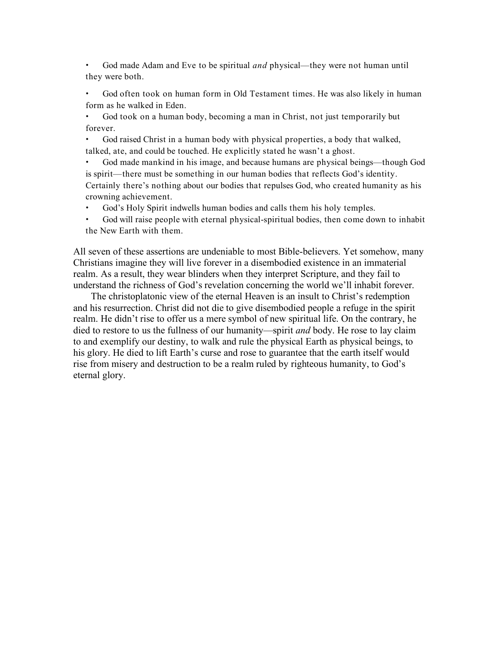• God made Adam and Eve to be spiritual *and* physical—they were not human until they were both.

God often took on human form in Old Testament times. He was also likely in human form as he walked in Eden.

God took on a human body, becoming a man in Christ, not just temporarily but forever.

• God raised Christ in a human body with physical properties, a body that walked, talked, ate, and could be touched. He explicitly stated he wasn't a ghost.

• God made mankind in his image, and because humans are physical beings—though God is spirit—there must be something in our human bodies that reflects God's identity. Certainly there's nothing about our bodies that repulses God, who created humanity as his crowning achievement.

- God's Holy Spirit indwells human bodies and calls them his holy temples.
- God will raise people with eternal physical-spiritual bodies, then come down to inhabit the New Earth with them.

All seven of these assertions are undeniable to most Bible-believers. Yet somehow, many Christians imagine they will live forever in a disembodied existence in an immaterial realm. As a result, they wear blinders when they interpret Scripture, and they fail to understand the richness of God's revelation concerning the world we'll inhabit forever.

The christoplatonic view of the eternal Heaven is an insult to Christ's redemption and his resurrection. Christ did not die to give disembodied people a refuge in the spirit realm. He didn't rise to offer us a mere symbol of new spiritual life. On the contrary, he died to restore to us the fullness of our humanity—spirit *and* body. He rose to lay claim to and exemplify our destiny, to walk and rule the physical Earth as physical beings, to his glory. He died to lift Earth's curse and rose to guarantee that the earth itself would rise from misery and destruction to be a realm ruled by righteous humanity, to God's eternal glory.